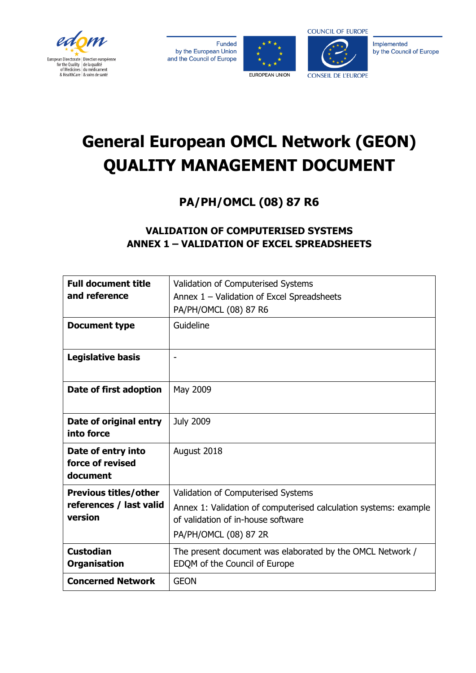







Implemented by the Council of Europe

# **General European OMCL Network (GEON) QUALITY MANAGEMENT DOCUMENT**

**PA/PH/OMCL (08) 87 R6**

# **VALIDATION OF COMPUTERISED SYSTEMS ANNEX 1 – VALIDATION OF EXCEL SPREADSHEETS**

| <b>Full document title</b><br>and reference                        | Validation of Computerised Systems<br>Annex 1 - Validation of Excel Spreadsheets<br>PA/PH/OMCL (08) 87 R6                                                             |
|--------------------------------------------------------------------|-----------------------------------------------------------------------------------------------------------------------------------------------------------------------|
| <b>Document type</b>                                               | Guideline                                                                                                                                                             |
| <b>Legislative basis</b>                                           | $\overline{\phantom{a}}$                                                                                                                                              |
| Date of first adoption                                             | May 2009                                                                                                                                                              |
| Date of original entry<br>into force                               | <b>July 2009</b>                                                                                                                                                      |
| Date of entry into<br>force of revised<br>document                 | August 2018                                                                                                                                                           |
| <b>Previous titles/other</b><br>references / last valid<br>version | Validation of Computerised Systems<br>Annex 1: Validation of computerised calculation systems: example<br>of validation of in-house software<br>PA/PH/OMCL (08) 87 2R |
| <b>Custodian</b><br><b>Organisation</b>                            | The present document was elaborated by the OMCL Network /<br>EDQM of the Council of Europe                                                                            |
| <b>Concerned Network</b>                                           | <b>GEON</b>                                                                                                                                                           |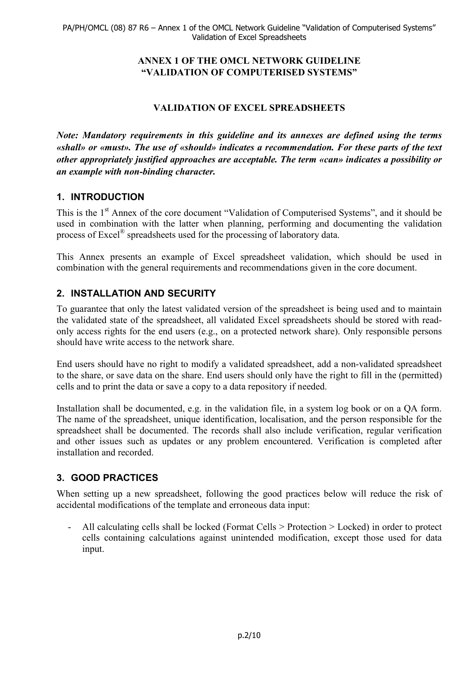## **ANNEX 1 OF THE OMCL NETWORK GUIDELINE "VALIDATION OF COMPUTERISED SYSTEMS"**

# **VALIDATION OF EXCEL SPREADSHEETS**

*Note: Mandatory requirements in this guideline and its annexes are defined using the terms «shall» or «must». The use of «should» indicates a recommendation. For these parts of the text other appropriately justified approaches are acceptable. The term «can» indicates a possibility or an example with non-binding character.*

# **1. INTRODUCTION**

This is the 1<sup>st</sup> Annex of the core document "Validation of Computerised Systems", and it should be used in combination with the latter when planning, performing and documenting the validation process of Excel® spreadsheets used for the processing of laboratory data.

This Annex presents an example of Excel spreadsheet validation, which should be used in combination with the general requirements and recommendations given in the core document.

# **2. INSTALLATION AND SECURITY**

To guarantee that only the latest validated version of the spreadsheet is being used and to maintain the validated state of the spreadsheet, all validated Excel spreadsheets should be stored with readonly access rights for the end users (e.g., on a protected network share). Only responsible persons should have write access to the network share.

End users should have no right to modify a validated spreadsheet, add a non-validated spreadsheet to the share, or save data on the share. End users should only have the right to fill in the (permitted) cells and to print the data or save a copy to a data repository if needed.

Installation shall be documented, e.g. in the validation file, in a system log book or on a QA form. The name of the spreadsheet, unique identification, localisation, and the person responsible for the spreadsheet shall be documented. The records shall also include verification, regular verification and other issues such as updates or any problem encountered. Verification is completed after installation and recorded.

# **3. GOOD PRACTICES**

When setting up a new spreadsheet, following the good practices below will reduce the risk of accidental modifications of the template and erroneous data input:

- All calculating cells shall be locked (Format Cells > Protection > Locked) in order to protect cells containing calculations against unintended modification, except those used for data input.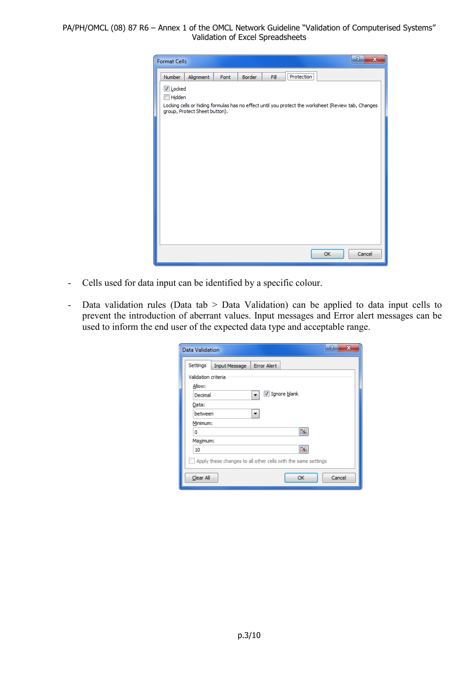| <b>Format Cells</b> |                               |      |               |      |            |                                                                                                     | P<br>$\overline{\mathbf{x}}$ |
|---------------------|-------------------------------|------|---------------|------|------------|-----------------------------------------------------------------------------------------------------|------------------------------|
| Number              | Alignment                     | Font | <b>Border</b> | Fill | Protection |                                                                                                     |                              |
| <b>√</b> Locked     |                               |      |               |      |            |                                                                                                     |                              |
| Hidden              |                               |      |               |      |            | Locking cells or hiding formulas has no effect until you protect the worksheet (Review tab, Changes |                              |
|                     | group, Protect Sheet button). |      |               |      |            |                                                                                                     |                              |
|                     |                               |      |               |      |            |                                                                                                     |                              |
|                     |                               |      |               |      |            |                                                                                                     |                              |
|                     |                               |      |               |      |            |                                                                                                     |                              |
|                     |                               |      |               |      |            |                                                                                                     |                              |
|                     |                               |      |               |      |            |                                                                                                     |                              |
|                     |                               |      |               |      |            |                                                                                                     |                              |
|                     |                               |      |               |      |            |                                                                                                     |                              |
|                     |                               |      |               |      |            |                                                                                                     |                              |
|                     |                               |      |               |      |            |                                                                                                     |                              |
|                     |                               |      |               |      |            |                                                                                                     |                              |
|                     |                               |      |               |      |            | OK                                                                                                  | Cancel                       |

- Cells used for data input can be identified by a specific colour.
- Data validation rules (Data tab > Data Validation) can be applied to data input cells to prevent the introduction of aberrant values. Input messages and Error alert messages can be used to inform the end user of the expected data type and acceptable range.

| Data Validation     |                                                               | P<br>$\mathbf x$ |
|---------------------|---------------------------------------------------------------|------------------|
| Settings            | <b>Error Alert</b><br><b>Input Message</b>                    |                  |
| Validation criteria |                                                               |                  |
| Allow:              |                                                               |                  |
| Decimal             | V Ignore blank                                                |                  |
| Data:               |                                                               |                  |
| between             |                                                               |                  |
| Minimum:            |                                                               |                  |
| o                   | Þ                                                             |                  |
| Maximum:            |                                                               |                  |
| 10                  |                                                               |                  |
|                     | Apply these changes to all other cells with the same settings |                  |
| Clear All           | OK                                                            | Cancel           |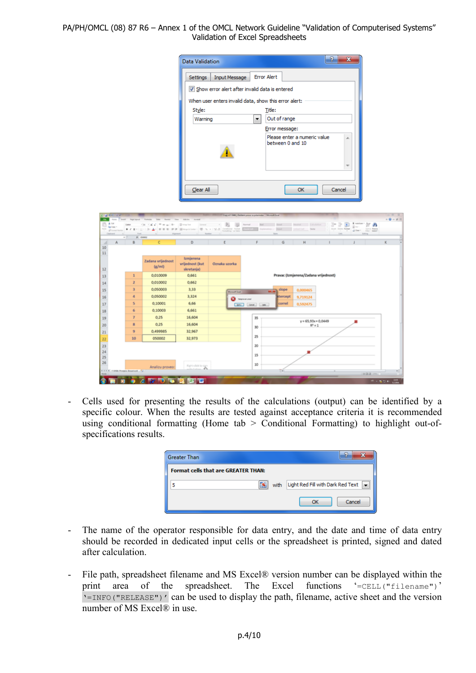|                      |                                                        |                             | <b>Data Validation</b>      |                   |                                                             |                                                                    |                                      | P            | $\mathbf{x}$                                                                              |                                     |  |  |  |
|----------------------|--------------------------------------------------------|-----------------------------|-----------------------------|-------------------|-------------------------------------------------------------|--------------------------------------------------------------------|--------------------------------------|--------------|-------------------------------------------------------------------------------------------|-------------------------------------|--|--|--|
|                      | <b>Error Alert</b><br><b>Input Message</b><br>Settings |                             |                             |                   |                                                             |                                                                    |                                      |              |                                                                                           |                                     |  |  |  |
|                      | Show error alert after invalid data is entered         |                             |                             |                   |                                                             |                                                                    |                                      |              |                                                                                           |                                     |  |  |  |
|                      | When user enters invalid data, show this error alert:  |                             |                             |                   |                                                             |                                                                    |                                      |              |                                                                                           |                                     |  |  |  |
|                      |                                                        |                             |                             |                   |                                                             |                                                                    |                                      |              |                                                                                           |                                     |  |  |  |
|                      |                                                        |                             | Style:<br>Warning           |                   | ۰                                                           | Title:<br>Out of range                                             |                                      |              |                                                                                           |                                     |  |  |  |
|                      |                                                        |                             |                             |                   |                                                             |                                                                    |                                      |              |                                                                                           |                                     |  |  |  |
|                      |                                                        |                             |                             |                   |                                                             | Error message:<br>Please enter a numeric value<br>between 0 and 10 |                                      |              |                                                                                           |                                     |  |  |  |
|                      |                                                        |                             | Clear All                   |                   |                                                             |                                                                    | OK                                   | Cancel       |                                                                                           |                                     |  |  |  |
| Eg Copy              | ■ お見り 日本 高・高・                                          | $= 1$<br>or or              | tege & Center               | $\cdots$ .<br>195 | Day of F-940, 2 Baltimir process professions - Monetal East | Neval Bill, Boot Neutral Estation 1                                |                                      | $2 - 2 - 30$ | $\frac{1}{2}$ antiser :<br>$\frac{1}{20}$ au :<br>Fort from Family 12 Days - Sixth Family | $-147 - 41$<br>$-0 - 0$ 11<br>27.45 |  |  |  |
| A<br>A               | A more                                                 | e                           | D                           |                   |                                                             | G                                                                  | н                                    |              |                                                                                           | ĸ                                   |  |  |  |
| 10<br>11             |                                                        |                             |                             |                   |                                                             |                                                                    |                                      |              |                                                                                           |                                     |  |  |  |
|                      |                                                        | Zadana vrijednost<br>(x/ml) | Izmjerena<br>wijednost (kut | Oznaka uzorka     |                                                             |                                                                    |                                      |              |                                                                                           |                                     |  |  |  |
| 12<br>13             | $\mathbf{1}$                                           | 0.010009                    | skretanja)<br>0.661         |                   |                                                             |                                                                    | Pravac (Izmjerena/Zadana vrijednost) |              |                                                                                           |                                     |  |  |  |
| 14                   | $\overline{z}$                                         | 0,010002                    | 0,662                       |                   |                                                             |                                                                    |                                      |              |                                                                                           |                                     |  |  |  |
| 15                   | 3                                                      | 0,050003                    | 3,33                        | must final        |                                                             | slope                                                              | 0,000465                             |              |                                                                                           |                                     |  |  |  |
| 16                   | 4                                                      | 0.050002                    | 3,324                       |                   | 0                                                           | Rencept                                                            | 9,719124                             |              |                                                                                           |                                     |  |  |  |
| 17                   | \$                                                     | 0.10001                     | 6.66                        |                   | Cars (Sent) (sec)                                           | correl                                                             | 0,592475                             |              |                                                                                           |                                     |  |  |  |
| 18                   | 6                                                      | 0,10003                     | 6,661                       |                   |                                                             |                                                                    |                                      |              |                                                                                           |                                     |  |  |  |
| 19                   | $\overline{r}$                                         | 0.25                        | 16,604                      |                   | 35                                                          |                                                                    | $y = 65,93x + 0,0449$                |              |                                                                                           |                                     |  |  |  |
| 20                   | $\mathbf{B}$<br>9                                      | 0.25<br>0,499985            | 16,604<br>32,967            |                   | 30                                                          |                                                                    | $R^2 = 1$                            |              |                                                                                           |                                     |  |  |  |
| 21<br>22             | 10                                                     | 050002                      | 32,973                      |                   | 25                                                          |                                                                    |                                      |              |                                                                                           |                                     |  |  |  |
| 23<br>24<br>25<br>26 |                                                        |                             |                             |                   | 20<br>15<br>10                                              |                                                                    |                                      |              |                                                                                           |                                     |  |  |  |
|                      |                                                        | Analizu proveo:             | Retalisting                 |                   |                                                             | Π¥                                                                 |                                      |              |                                                                                           |                                     |  |  |  |
|                      |                                                        |                             | <b>Z-31 WWW</b>             |                   |                                                             |                                                                    |                                      |              | 10.02.12                                                                                  | 1.500                               |  |  |  |

- Cells used for presenting the results of the calculations (output) can be identified by a specific colour. When the results are tested against acceptance criteria it is recommended using conditional formatting (Home tab > Conditional Formatting) to highlight out-ofspecifications results.

| <b>Greater Than</b>                        |      | Đ                                        |
|--------------------------------------------|------|------------------------------------------|
| <b>Format cells that are GREATER THAN:</b> |      |                                          |
| F.F                                        | with | Light Red Fill with Dark Red Text $\Box$ |
|                                            |      | Cancel<br>OK                             |

- The name of the operator responsible for data entry, and the date and time of data entry should be recorded in dedicated input cells or the spreadsheet is printed, signed and dated after calculation.
- File path, spreadsheet filename and MS Excel® version number can be displayed within the print area of the spreadsheet. The Excel functions '=CELL("filename")' '=INFO("RELEASE")' can be used to display the path, filename, active sheet and the version number of MS  $\text{Excel}$ <sup>®</sup> in use.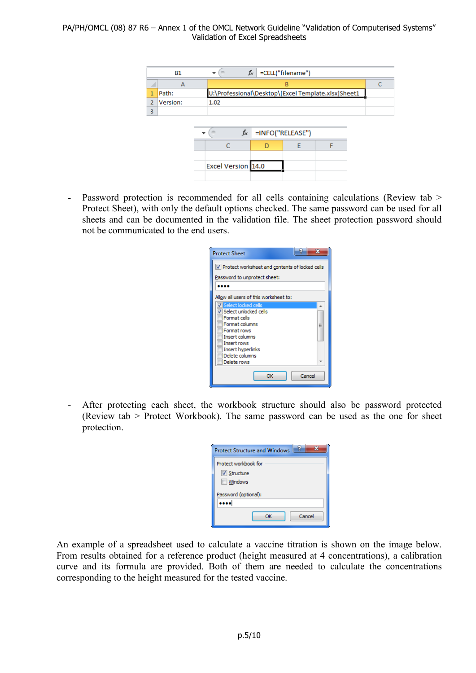|                | <b>B1</b> | $\overline{\phantom{a}}$ | $f_x$                                               | =CELL("filename") |  |  |  |  |  |  |  |  |  |  |
|----------------|-----------|--------------------------|-----------------------------------------------------|-------------------|--|--|--|--|--|--|--|--|--|--|
|                | A         |                          | B                                                   |                   |  |  |  |  |  |  |  |  |  |  |
| 1              | Path:     |                          | U:\Professional\Desktop\[Excel Template.xlsx]Sheet1 |                   |  |  |  |  |  |  |  |  |  |  |
| $\overline{2}$ | Version:  | 1.02                     |                                                     |                   |  |  |  |  |  |  |  |  |  |  |
| 3              |           |                          |                                                     |                   |  |  |  |  |  |  |  |  |  |  |
|                |           | fx<br>=INFO("RELEASE")   |                                                     |                   |  |  |  |  |  |  |  |  |  |  |
|                |           |                          |                                                     | Е                 |  |  |  |  |  |  |  |  |  |  |
|                |           |                          |                                                     |                   |  |  |  |  |  |  |  |  |  |  |
|                |           | Excel Version 14.0       |                                                     |                   |  |  |  |  |  |  |  |  |  |  |
|                |           |                          |                                                     |                   |  |  |  |  |  |  |  |  |  |  |

- Password protection is recommended for all cells containing calculations (Review tab > Protect Sheet), with only the default options checked. The same password can be used for all sheets and can be documented in the validation file. The sheet protection password should not be communicated to the end users.

| 9<br><b>Protect Sheet</b>                                    |  |  |  |  |  |  |  |  |  |  |
|--------------------------------------------------------------|--|--|--|--|--|--|--|--|--|--|
| V Protect worksheet and contents of locked cells             |  |  |  |  |  |  |  |  |  |  |
| Password to unprotect sheet:                                 |  |  |  |  |  |  |  |  |  |  |
|                                                              |  |  |  |  |  |  |  |  |  |  |
| Allow all users of this worksheet to:                        |  |  |  |  |  |  |  |  |  |  |
| Select locked cells<br>Select unlocked cells<br>Format cells |  |  |  |  |  |  |  |  |  |  |
| Format columns<br>Ξ<br>Format rows                           |  |  |  |  |  |  |  |  |  |  |
| <b>Insert columns</b><br><b>Insert rows</b>                  |  |  |  |  |  |  |  |  |  |  |
| Insert hyperlinks<br>Delete columns<br>Delete rows           |  |  |  |  |  |  |  |  |  |  |
| Cancel<br>OK                                                 |  |  |  |  |  |  |  |  |  |  |

- After protecting each sheet, the workbook structure should also be password protected (Review tab > Protect Workbook). The same password can be used as the one for sheet protection.

| 7<br><b>Protect Structure and Windows</b>             |
|-------------------------------------------------------|
| Protect workbook for<br>V Structure<br><b>Windows</b> |
| Password (optional):                                  |
| Cancel<br>OK                                          |

An example of a spreadsheet used to calculate a vaccine titration is shown on the image below. From results obtained for a reference product (height measured at 4 concentrations), a calibration curve and its formula are provided. Both of them are needed to calculate the concentrations corresponding to the height measured for the tested vaccine.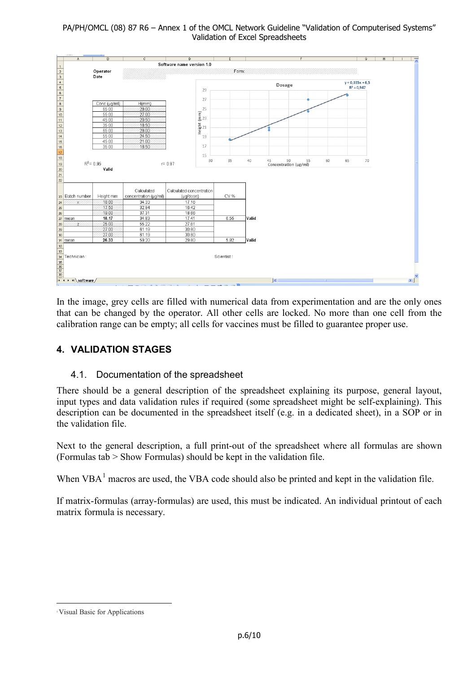

In the image, grey cells are filled with numerical data from experimentation and are the only ones that can be changed by the operator. All other cells are locked. No more than one cell from the calibration range can be empty; all cells for vaccines must be filled to guarantee proper use.

# **4. VALIDATION STAGES**

## 4.1. Documentation of the spreadsheet

There should be a general description of the spreadsheet explaining its purpose, general layout, input types and data validation rules if required (some spreadsheet might be self-explaining). This description can be documented in the spreadsheet itself (e.g. in a dedicated sheet), in a SOP or in the validation file.

Next to the general description, a full print-out of the spreadsheet where all formulas are shown (Formulas tab > Show Formulas) should be kept in the validation file.

When  $VBA<sup>1</sup>$  $VBA<sup>1</sup>$  $VBA<sup>1</sup>$  macros are used, the VBA code should also be printed and kept in the validation file.

If matrix-formulas (array-formulas) are used, this must be indicated. An individual printout of each matrix formula is necessary.

<span id="page-5-0"></span> <sup>1</sup>Visual Basic for Applications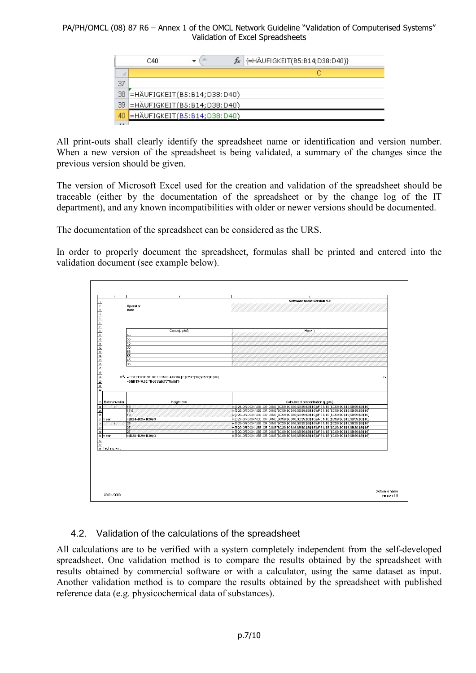|                 | C40                                 |  | $f_{\ast}$ {=HÄUFIGKEIT(B5:B14;D38:D40)} |
|-----------------|-------------------------------------|--|------------------------------------------|
|                 |                                     |  |                                          |
| 37              |                                     |  |                                          |
|                 | 38 =HÄUFIGKEIT(B5:B14;D38:D40)      |  |                                          |
|                 | 39 = HÄUFIGKEIT (B5: B14; D38: D40) |  |                                          |
| 40 <sub>1</sub> | =HÄUFIGKEIT(B5:B14;D38:D40)         |  |                                          |
| A               |                                     |  |                                          |

All print-outs shall clearly identify the spreadsheet name or identification and version number. When a new version of the spreadsheet is being validated, a summary of the changes since the previous version should be given.

The version of Microsoft Excel used for the creation and validation of the spreadsheet should be traceable (either by the documentation of the spreadsheet or by the change log of the IT department), and any known incompatibilities with older or newer versions should be documented.

The documentation of the spreadsheet can be considered as the URS.

In order to properly document the spreadsheet, formulas shall be printed and entered into the validation document (see example below).



# 4.2. Validation of the calculations of the spreadsheet

All calculations are to be verified with a system completely independent from the self-developed spreadsheet. One validation method is to compare the results obtained by the spreadsheet with results obtained by commercial software or with a calculator, using the same dataset as input. Another validation method is to compare the results obtained by the spreadsheet with published reference data (e.g. physicochemical data of substances).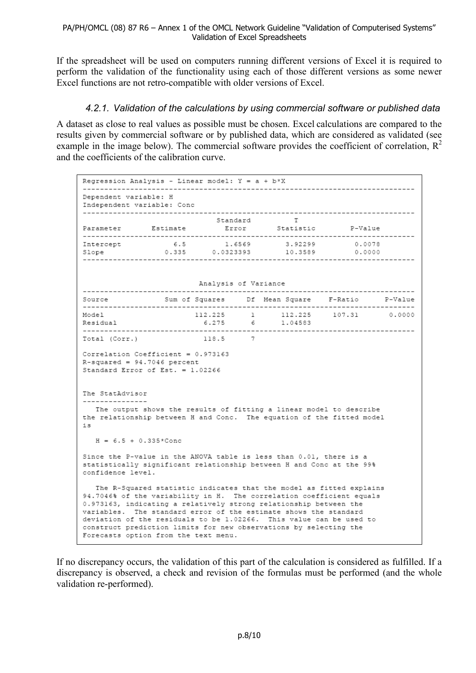If the spreadsheet will be used on computers running different versions of Excel it is required to perform the validation of the functionality using each of those different versions as some newer Excel functions are not retro-compatible with older versions of Excel.

## *4.2.1. Validation of the calculations by using commercial software or published data*

A dataset as close to real values as possible must be chosen. Excel calculations are compared to the results given by commercial software or by published data, which are considered as validated (see example in the image below). The commercial software provides the coefficient of correlation,  $R^2$ and the coefficients of the calibration curve.

| Regression Analysis - Linear model: $Y = a + b*X$<br>---------------------------                                                                                |                                                                                                                                                                                                                                                                                                                                                                                                                                                                          |           |  |                                               |  |  |  |  |  |  |  |  |
|-----------------------------------------------------------------------------------------------------------------------------------------------------------------|--------------------------------------------------------------------------------------------------------------------------------------------------------------------------------------------------------------------------------------------------------------------------------------------------------------------------------------------------------------------------------------------------------------------------------------------------------------------------|-----------|--|-----------------------------------------------|--|--|--|--|--|--|--|--|
| Dependent variable: H<br>Independent variable: Conc                                                                                                             |                                                                                                                                                                                                                                                                                                                                                                                                                                                                          |           |  |                                               |  |  |  |  |  |  |  |  |
|                                                                                                                                                                 | T<br>Standard<br>Parameter Estimate Error Statistic P-Value                                                                                                                                                                                                                                                                                                                                                                                                              |           |  |                                               |  |  |  |  |  |  |  |  |
|                                                                                                                                                                 |                                                                                                                                                                                                                                                                                                                                                                                                                                                                          |           |  |                                               |  |  |  |  |  |  |  |  |
| Intercept                                                                                                                                                       | 0.0078                                                                                                                                                                                                                                                                                                                                                                                                                                                                   |           |  |                                               |  |  |  |  |  |  |  |  |
| Slope 0.335 0.0323393 10.3589 0.0000                                                                                                                            |                                                                                                                                                                                                                                                                                                                                                                                                                                                                          |           |  | 3.92299                                       |  |  |  |  |  |  |  |  |
| Analysis of Variance                                                                                                                                            |                                                                                                                                                                                                                                                                                                                                                                                                                                                                          |           |  |                                               |  |  |  |  |  |  |  |  |
|                                                                                                                                                                 |                                                                                                                                                                                                                                                                                                                                                                                                                                                                          |           |  |                                               |  |  |  |  |  |  |  |  |
| Source                                                                                                                                                          |                                                                                                                                                                                                                                                                                                                                                                                                                                                                          |           |  | Sum of Squares Df Mean Square F-Ratio P-Value |  |  |  |  |  |  |  |  |
| Model                                                                                                                                                           |                                                                                                                                                                                                                                                                                                                                                                                                                                                                          |           |  | $112.225$ 1 $112.225$ 107.31 0.0000           |  |  |  |  |  |  |  |  |
| Residual                                                                                                                                                        |                                                                                                                                                                                                                                                                                                                                                                                                                                                                          |           |  | 6.275 6 1.04583                               |  |  |  |  |  |  |  |  |
| Total (Corr.)                                                                                                                                                   |                                                                                                                                                                                                                                                                                                                                                                                                                                                                          | $118.5$ 7 |  |                                               |  |  |  |  |  |  |  |  |
| Correlation Coefficient = $0.973163$<br>$R$ -squared = 94.7046 percent<br>Standard Error of Est. = $1.02266$                                                    |                                                                                                                                                                                                                                                                                                                                                                                                                                                                          |           |  |                                               |  |  |  |  |  |  |  |  |
| The StatAdvisor<br>---------------                                                                                                                              |                                                                                                                                                                                                                                                                                                                                                                                                                                                                          |           |  |                                               |  |  |  |  |  |  |  |  |
| The output shows the results of fitting a linear model to describe<br>the relationship between H and Conc. The equation of the fitted model<br>iз               |                                                                                                                                                                                                                                                                                                                                                                                                                                                                          |           |  |                                               |  |  |  |  |  |  |  |  |
| $H = 6.5 + 0.335*$ Conc                                                                                                                                         |                                                                                                                                                                                                                                                                                                                                                                                                                                                                          |           |  |                                               |  |  |  |  |  |  |  |  |
| Since the P-value in the ANOVA table is less than 0.01, there is a<br>statistically significant relationship between H and Conc at the 99%<br>confidence level. |                                                                                                                                                                                                                                                                                                                                                                                                                                                                          |           |  |                                               |  |  |  |  |  |  |  |  |
|                                                                                                                                                                 | The R-Squared statistic indicates that the model as fitted explains<br>94.7046% of the variability in H. The correlation coefficient equals<br>0.973163, indicating a relatively strong relationship between the<br>variables. The standard error of the estimate shows the standard<br>deviation of the residuals to be 1.02266. This value can be used to<br>construct prediction limits for new observations by selecting the<br>Forecasts option from the text menu. |           |  |                                               |  |  |  |  |  |  |  |  |

If no discrepancy occurs, the validation of this part of the calculation is considered as fulfilled. If a discrepancy is observed, a check and revision of the formulas must be performed (and the whole validation re-performed).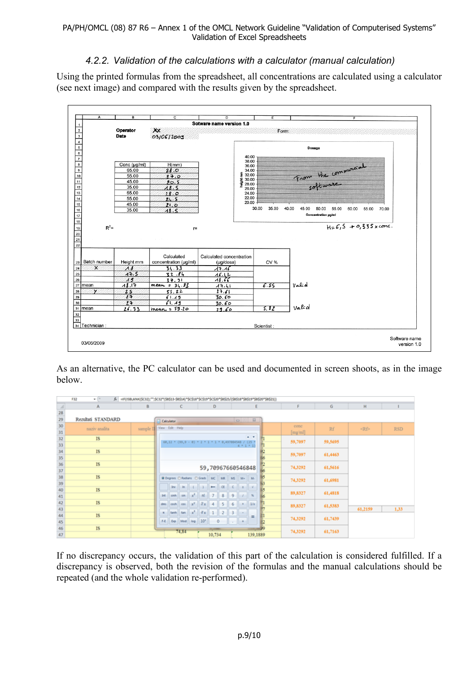# *4.2.2. Validation of the calculations with a calculator (manual calculation)*

Using the printed formulas from the spreadsheet, all concentrations are calculated using a calculator (see next image) and compared with the results given by the spreadsheet.



As an alternative, the PC calculator can be used and documented in screen shoots, as in the image below.

|                                                     | /k == IF(ISBLANK(\$C32);**;\$C32*(\$8\$13-\$8\$14)*\$C\$18*\$C\$19*\$C\$20*\$B\$25/(\$8\$18*\$B\$19*\$B\$20*\$B\$21))<br>F32<br>$\bullet$ (iii) |          |                |        |                                                      |  |                |                   |           |        |             |                |         |         |         |           |            |
|-----------------------------------------------------|-------------------------------------------------------------------------------------------------------------------------------------------------|----------|----------------|--------|------------------------------------------------------|--|----------------|-------------------|-----------|--------|-------------|----------------|---------|---------|---------|-----------|------------|
|                                                     | A                                                                                                                                               | 8        |                |        | c                                                    |  |                | D                 |           |        |             | ε              |         | F       | G       | н         |            |
|                                                     |                                                                                                                                                 |          |                |        |                                                      |  |                |                   |           |        |             |                |         |         |         |           |            |
|                                                     | Rezultati STANDARD                                                                                                                              |          | Calculator     |        |                                                      |  |                |                   |           |        | $\Box$      | $\Sigma$       |         |         |         |           |            |
| $\begin{array}{r} 28 \\ 29 \\ 30 \\ 31 \end{array}$ | naziv analita                                                                                                                                   | sample I | View Edit Help |        |                                                      |  |                |                   |           |        |             |                |         | cone    | Rf      | <rf></rf> | <b>RSD</b> |
|                                                     |                                                                                                                                                 |          |                |        |                                                      |  |                |                   |           |        |             |                |         | [mg/ml] |         |           |            |
| 32 33 34 35 36 37 38 39 40                          | IS                                                                                                                                              |          |                |        | 60,12 * (99,9 - 0) * 2 * 1 * 1 * 0,497004548 / (25 * |  |                |                   |           |        |             | $\overline{a}$ |         | 59,7097 | 59,5695 |           |            |
|                                                     |                                                                                                                                                 |          |                |        |                                                      |  |                |                   |           |        | $4 + 1 + 1$ |                |         |         |         |           |            |
|                                                     | <b>IS</b>                                                                                                                                       |          |                |        |                                                      |  |                |                   |           |        |             |                |         | 59,7097 | 61,4463 |           |            |
|                                                     |                                                                                                                                                 |          |                |        |                                                      |  |                |                   |           |        |             |                |         |         |         |           |            |
|                                                     | IS                                                                                                                                              |          |                |        |                                                      |  |                | 59,70967660546848 |           |        |             | 74,3292        | 61,5616 |         |         |           |            |
|                                                     |                                                                                                                                                 |          |                |        |                                                      |  |                |                   |           |        |             |                |         |         |         |           |            |
|                                                     | IS                                                                                                                                              |          |                |        | <b>@ Depress C Radians C Grads</b>   MC              |  |                |                   | <b>MR</b> | M5     | $M*$ $M*$   |                |         | 74,3292 | 61,6981 |           |            |
|                                                     |                                                                                                                                                 |          |                | ber in |                                                      |  |                | $\leftarrow$      | $1$       |        |             |                |         |         |         |           |            |
|                                                     | <b>IS</b>                                                                                                                                       |          |                |        |                                                      |  |                |                   |           |        |             |                |         | 89,8327 | 61,4818 |           |            |
| 41                                                  |                                                                                                                                                 |          | int.           | sinh   | $sin \frac{1}{x^2}$                                  |  | $\mathfrak{m}$ | 7                 | 8         | 9      |             | $\mathcal{H}$  |         |         |         |           |            |
|                                                     | IS                                                                                                                                              |          | dms            |        | cosh cas $x^y$ $y_x$                                 |  |                | 4                 | 5         | 6      |             | 1/x            |         | 89,8327 | 61,5383 |           |            |
|                                                     |                                                                                                                                                 |          |                | tanh   | $tan x^2$ $\sqrt[3]{x}$ 1 2 3 -                      |  |                |                   |           |        |             |                |         |         |         | 61,2159   | 1,33       |
|                                                     | IS                                                                                                                                              |          |                |        | F-E Exp Med tog 10"                                  |  |                |                   |           |        |             |                |         | 74,3292 | 61,7439 |           |            |
| $42$<br>$43$<br>$44$<br>$45$<br>$46$<br>$47$        |                                                                                                                                                 |          |                |        |                                                      |  |                | 0                 |           | $\sim$ | li el       |                |         |         |         |           |            |
|                                                     | IS                                                                                                                                              |          |                |        | 74,84                                                |  |                |                   |           |        |             |                |         | 74,3292 | 61,7163 |           |            |
|                                                     |                                                                                                                                                 |          |                |        |                                                      |  |                | 10,734            |           |        |             | 139,1889       |         |         |         |           |            |

If no discrepancy occurs, the validation of this part of the calculation is considered fulfilled. If a discrepancy is observed, both the revision of the formulas and the manual calculations should be repeated (and the whole validation re-performed).